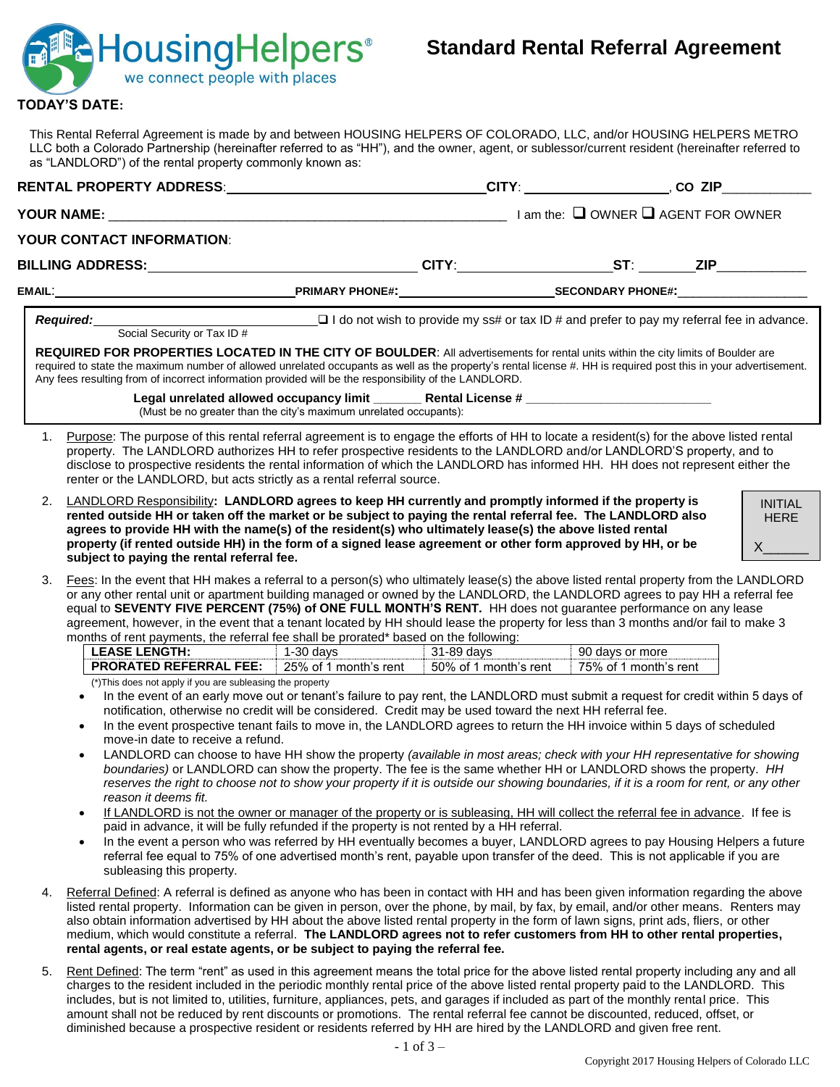

## **TODAY'S DATE:**

This Rental Referral Agreement is made by and between HOUSING HELPERS OF COLORADO, LLC, and/or HOUSING HELPERS METRO LLC both a Colorado Partnership (hereinafter referred to as "HH"), and the owner, agent, or sublessor/current resident (hereinafter referred to as "LANDLORD") of the rental property commonly known as:

|                                                                                                                                                                                                          |                                                                                                                                                                                                                                                                                                                                                                                                                                                                                                                                                                                                                                                                                                                                                                                                                                                                                                                                                                                                                                                                                                                                                                                                                                                                       |                                     | _CITY: _________________________, CO_ZIP_______________ |                                             |
|----------------------------------------------------------------------------------------------------------------------------------------------------------------------------------------------------------|-----------------------------------------------------------------------------------------------------------------------------------------------------------------------------------------------------------------------------------------------------------------------------------------------------------------------------------------------------------------------------------------------------------------------------------------------------------------------------------------------------------------------------------------------------------------------------------------------------------------------------------------------------------------------------------------------------------------------------------------------------------------------------------------------------------------------------------------------------------------------------------------------------------------------------------------------------------------------------------------------------------------------------------------------------------------------------------------------------------------------------------------------------------------------------------------------------------------------------------------------------------------------|-------------------------------------|---------------------------------------------------------|---------------------------------------------|
| <b>YOUR NAME:</b>                                                                                                                                                                                        | $\Box$ am the: $\Box$ OWNER $\Box$ AGENT FOR OWNER                                                                                                                                                                                                                                                                                                                                                                                                                                                                                                                                                                                                                                                                                                                                                                                                                                                                                                                                                                                                                                                                                                                                                                                                                    |                                     |                                                         |                                             |
| YOUR CONTACT INFORMATION:                                                                                                                                                                                |                                                                                                                                                                                                                                                                                                                                                                                                                                                                                                                                                                                                                                                                                                                                                                                                                                                                                                                                                                                                                                                                                                                                                                                                                                                                       |                                     |                                                         |                                             |
|                                                                                                                                                                                                          |                                                                                                                                                                                                                                                                                                                                                                                                                                                                                                                                                                                                                                                                                                                                                                                                                                                                                                                                                                                                                                                                                                                                                                                                                                                                       |                                     |                                                         |                                             |
|                                                                                                                                                                                                          |                                                                                                                                                                                                                                                                                                                                                                                                                                                                                                                                                                                                                                                                                                                                                                                                                                                                                                                                                                                                                                                                                                                                                                                                                                                                       |                                     |                                                         |                                             |
| <b>Required:</b>                                                                                                                                                                                         |                                                                                                                                                                                                                                                                                                                                                                                                                                                                                                                                                                                                                                                                                                                                                                                                                                                                                                                                                                                                                                                                                                                                                                                                                                                                       |                                     |                                                         |                                             |
|                                                                                                                                                                                                          | REQUIRED FOR PROPERTIES LOCATED IN THE CITY OF BOULDER: All advertisements for rental units within the city limits of Boulder are<br>required to state the maximum number of allowed unrelated occupants as well as the property's rental license #. HH is required post this in your advertisement.<br>Any fees resulting from of incorrect information provided will be the responsibility of the LANDLORD.                                                                                                                                                                                                                                                                                                                                                                                                                                                                                                                                                                                                                                                                                                                                                                                                                                                         |                                     |                                                         |                                             |
|                                                                                                                                                                                                          | (Must be no greater than the city's maximum unrelated occupants):                                                                                                                                                                                                                                                                                                                                                                                                                                                                                                                                                                                                                                                                                                                                                                                                                                                                                                                                                                                                                                                                                                                                                                                                     |                                     |                                                         |                                             |
| 1.                                                                                                                                                                                                       | Purpose: The purpose of this rental referral agreement is to engage the efforts of HH to locate a resident(s) for the above listed rental<br>property. The LANDLORD authorizes HH to refer prospective residents to the LANDLORD and/or LANDLORD'S property, and to<br>disclose to prospective residents the rental information of which the LANDLORD has informed HH. HH does not represent either the<br>renter or the LANDLORD, but acts strictly as a rental referral source.                                                                                                                                                                                                                                                                                                                                                                                                                                                                                                                                                                                                                                                                                                                                                                                     |                                     |                                                         |                                             |
| 2.<br>subject to paying the rental referral fee.                                                                                                                                                         | LANDLORD Responsibility: LANDLORD agrees to keep HH currently and promptly informed if the property is<br>rented outside HH or taken off the market or be subject to paying the rental referral fee. The LANDLORD also<br>agrees to provide HH with the name(s) of the resident(s) who ultimately lease(s) the above listed rental<br>property (if rented outside HH) in the form of a signed lease agreement or other form approved by HH, or be                                                                                                                                                                                                                                                                                                                                                                                                                                                                                                                                                                                                                                                                                                                                                                                                                     |                                     |                                                         | <b>INITIAL</b><br><b>HERE</b><br>$X \qquad$ |
| 3.<br><b>PRORATED REFERRAL FEE:</b>                                                                                                                                                                      | Fees: In the event that HH makes a referral to a person(s) who ultimately lease(s) the above listed rental property from the LANDLORD<br>or any other rental unit or apartment building managed or owned by the LANDLORD, the LANDLORD agrees to pay HH a referral fee<br>equal to SEVENTY FIVE PERCENT (75%) of ONE FULL MONTH'S RENT. HH does not guarantee performance on any lease<br>agreement, however, in the event that a tenant located by HH should lease the property for less than 3 months and/or fail to make 3<br>months of rent payments, the referral fee shall be prorated* based on the following:<br>LEASE LENGTH: 1-30 days<br>25% of 1 month's rent                                                                                                                                                                                                                                                                                                                                                                                                                                                                                                                                                                                             | 31-89 days<br>50% of 1 month's rent | 90 days or more<br>75% of 1 month's rent                |                                             |
| (*) This does not apply if you are subleasing the property<br>$\bullet$<br>move-in date to receive a refund.<br>$\bullet$<br>reason it deems fit.<br>$\bullet$<br>$\bullet$<br>subleasing this property. | In the event of an early move out or tenant's failure to pay rent, the LANDLORD must submit a request for credit within 5 days of<br>notification, otherwise no credit will be considered. Credit may be used toward the next HH referral fee.<br>In the event prospective tenant fails to move in, the LANDLORD agrees to return the HH invoice within 5 days of scheduled<br>LANDLORD can choose to have HH show the property (available in most areas; check with your HH representative for showing<br>boundaries) or LANDLORD can show the property. The fee is the same whether HH or LANDLORD shows the property. HH<br>reserves the right to choose not to show your property if it is outside our showing boundaries, if it is a room for rent, or any other<br>If LANDLORD is not the owner or manager of the property or is subleasing, HH will collect the referral fee in advance. If fee is<br>paid in advance, it will be fully refunded if the property is not rented by a HH referral.<br>In the event a person who was referred by HH eventually becomes a buyer, LANDLORD agrees to pay Housing Helpers a future<br>referral fee equal to 75% of one advertised month's rent, payable upon transfer of the deed. This is not applicable if you are |                                     |                                                         |                                             |
| 4.                                                                                                                                                                                                       | Referral Defined: A referral is defined as anyone who has been in contact with HH and has been given information regarding the above<br>listed rental property. Information can be given in person, over the phone, by mail, by fax, by email, and/or other means. Renters may<br>also obtain information advertised by HH about the above listed rental property in the form of lawn signs, print ads, fliers, or other<br>medium, which would constitute a referral. The LANDLORD agrees not to refer customers from HH to other rental properties,                                                                                                                                                                                                                                                                                                                                                                                                                                                                                                                                                                                                                                                                                                                 |                                     |                                                         |                                             |

#### **rental agents, or real estate agents, or be subject to paying the referral fee.**

5. Rent Defined: The term "rent" as used in this agreement means the total price for the above listed rental property including any and all charges to the resident included in the periodic monthly rental price of the above listed rental property paid to the LANDLORD. This includes, but is not limited to, utilities, furniture, appliances, pets, and garages if included as part of the monthly rental price. This amount shall not be reduced by rent discounts or promotions. The rental referral fee cannot be discounted, reduced, offset, or diminished because a prospective resident or residents referred by HH are hired by the LANDLORD and given free rent.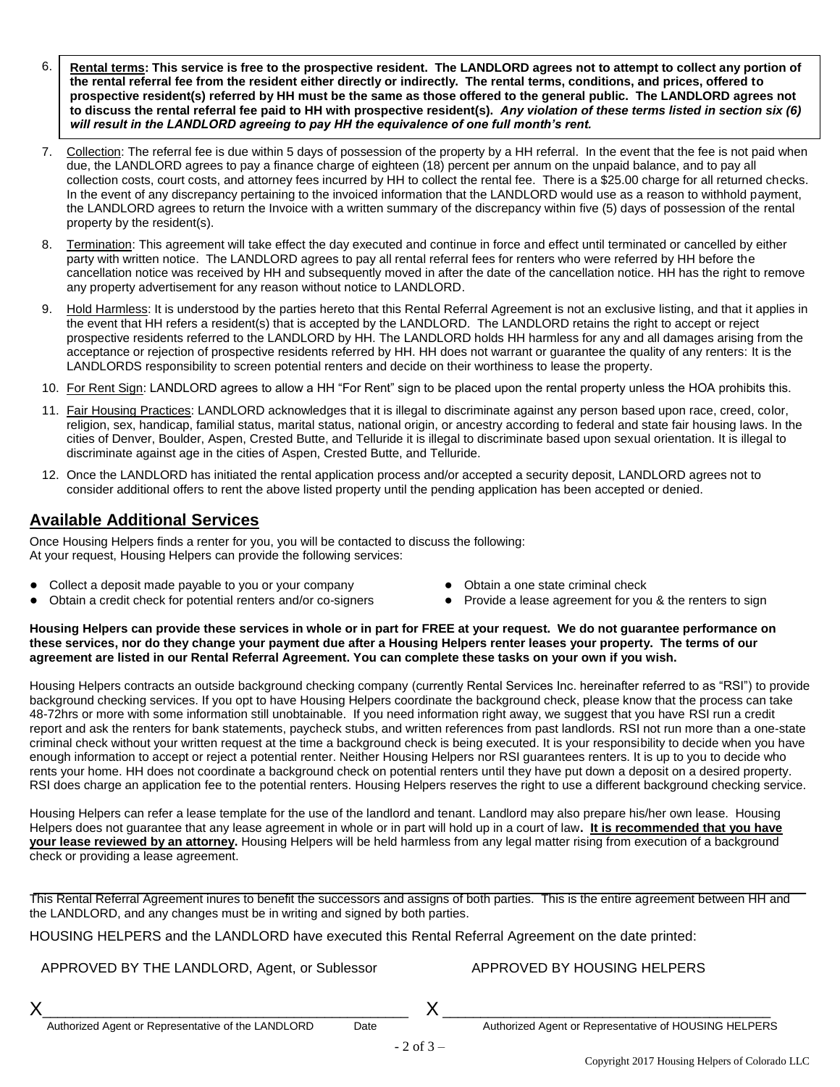- 6. **Rental terms: This service is free to the prospective resident. The LANDLORD agrees not to attempt to collect any portion of the rental referral fee from the resident either directly or indirectly. The rental terms, conditions, and prices, offered to prospective resident(s) referred by HH must be the same as those offered to the general public. The LANDLORD agrees not to discuss the rental referral fee paid to HH with prospective resident(s).** *Any violation of these terms listed in section six (6) will result in the LANDLORD agreeing to pay HH the equivalence of one full month's rent.*
- 7. Collection: The referral fee is due within 5 days of possession of the property by a HH referral. In the event that the fee is not paid when due, the LANDLORD agrees to pay a finance charge of eighteen (18) percent per annum on the unpaid balance, and to pay all collection costs, court costs, and attorney fees incurred by HH to collect the rental fee. There is a \$25.00 charge for all returned checks. In the event of any discrepancy pertaining to the invoiced information that the LANDLORD would use as a reason to withhold payment, the LANDLORD agrees to return the Invoice with a written summary of the discrepancy within five (5) days of possession of the rental property by the resident(s).
- 8. Termination: This agreement will take effect the day executed and continue in force and effect until terminated or cancelled by either party with written notice. The LANDLORD agrees to pay all rental referral fees for renters who were referred by HH before the cancellation notice was received by HH and subsequently moved in after the date of the cancellation notice. HH has the right to remove any property advertisement for any reason without notice to LANDLORD.
- 9. Hold Harmless: It is understood by the parties hereto that this Rental Referral Agreement is not an exclusive listing, and that it applies in the event that HH refers a resident(s) that is accepted by the LANDLORD. The LANDLORD retains the right to accept or reject prospective residents referred to the LANDLORD by HH. The LANDLORD holds HH harmless for any and all damages arising from the acceptance or rejection of prospective residents referred by HH. HH does not warrant or guarantee the quality of any renters: It is the LANDLORDS responsibility to screen potential renters and decide on their worthiness to lease the property.
- 10. For Rent Sign: LANDLORD agrees to allow a HH "For Rent" sign to be placed upon the rental property unless the HOA prohibits this.
- 11. Fair Housing Practices: LANDLORD acknowledges that it is illegal to discriminate against any person based upon race, creed, color, religion, sex, handicap, familial status, marital status, national origin, or ancestry according to federal and state fair housing laws. In the cities of Denver, Boulder, Aspen, Crested Butte, and Telluride it is illegal to discriminate based upon sexual orientation. It is illegal to discriminate against age in the cities of Aspen, Crested Butte, and Telluride.
- 12. Once the LANDLORD has initiated the rental application process and/or accepted a security deposit, LANDLORD agrees not to consider additional offers to rent the above listed property until the pending application has been accepted or denied.

## **Available Additional Services**

Once Housing Helpers finds a renter for you, you will be contacted to discuss the following: At your request, Housing Helpers can provide the following services:

- **●** Collect a deposit made payable to you or your company
- Obtain a credit check for potential renters and/or co-signers
- **●** Obtain a one state criminal check
- **●** Provide a lease agreement for you & the renters to sign

**Housing Helpers can provide these services in whole or in part for FREE at your request. We do not guarantee performance on these services, nor do they change your payment due after a Housing Helpers renter leases your property. The terms of our agreement are listed in our Rental Referral Agreement. You can complete these tasks on your own if you wish.** 

Housing Helpers contracts an outside background checking company (currently Rental Services Inc. hereinafter referred to as "RSI") to provide background checking services. If you opt to have Housing Helpers coordinate the background check, please know that the process can take 48-72hrs or more with some information still unobtainable. If you need information right away, we suggest that you have RSI run a credit report and ask the renters for bank statements, paycheck stubs, and written references from past landlords. RSI not run more than a one-state criminal check without your written request at the time a background check is being executed. It is your responsibility to decide when you have enough information to accept or reject a potential renter. Neither Housing Helpers nor RSI guarantees renters. It is up to you to decide who rents your home. HH does not coordinate a background check on potential renters until they have put down a deposit on a desired property. RSI does charge an application fee to the potential renters. Housing Helpers reserves the right to use a different background checking service.

Housing Helpers can refer a lease template for the use of the landlord and tenant. Landlord may also prepare his/her own lease. Housing Helpers does not guarantee that any lease agreement in whole or in part will hold up in a court of law**. It is recommended that you have your lease reviewed by an attorney.** Housing Helpers will be held harmless from any legal matter rising from execution of a background check or providing a lease agreement.

This Rental Referral Agreement inures to benefit the successors and assigns of both parties. This is the entire agreement between HH and the LANDLORD, and any changes must be in writing and signed by both parties.

HOUSING HELPERS and the LANDLORD have executed this Rental Referral Agreement on the date printed:

APPROVED BY THE LANDLORD, Agent, or Sublessor

X\_\_\_\_\_\_\_\_\_\_\_\_\_\_\_\_\_\_\_\_\_\_\_\_\_\_\_\_\_\_\_\_\_\_\_\_\_\_\_\_\_\_\_\_\_\_\_\_

### APPROVED BY HOUSING HELPERS

X \_\_\_\_\_\_\_\_\_\_\_\_\_\_\_\_\_\_\_\_\_\_\_\_\_\_\_\_\_\_\_\_\_\_\_\_\_\_\_\_\_\_\_

Authorized Agent or Representative of HOUSING HELPERS